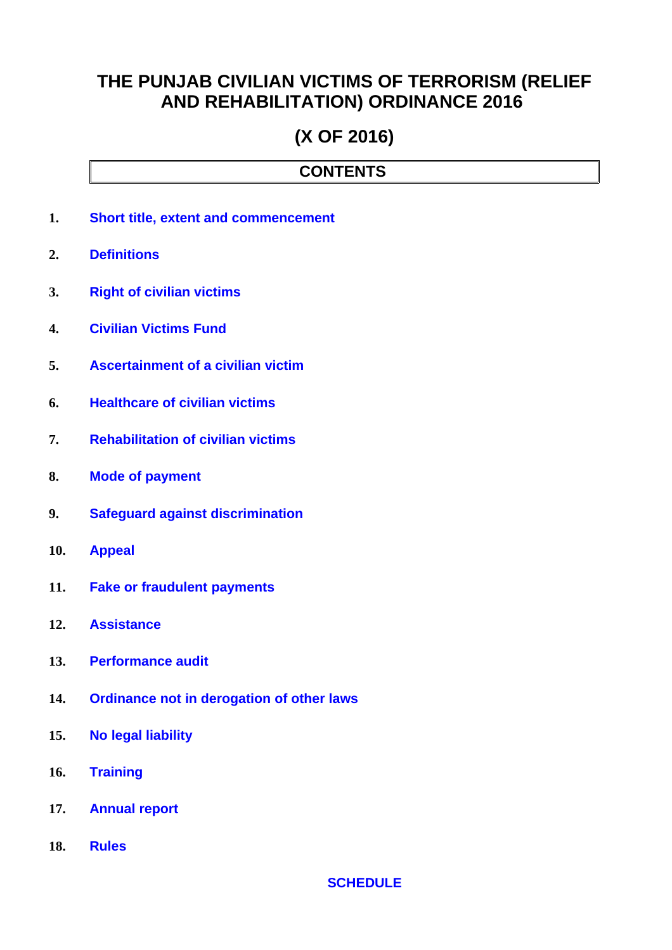## **THE PUNJAB CIVILIAN VICTIMS OF TERRORISM (RELIEF AND REHABILITATION) ORDINANCE 2016**

# **(X OF 2016)**

### **CONTENTS**

- **1. [Short title, extent and commencement](#page-1-1)**
- **2. [Definitions](#page-1-0)**
- **3. [Right of civilian victims](#page-2-2)**
- **4. [Civilian Victims Fund](#page-2-1)**
- **5. [Ascertainment of a civilian victim](#page-2-0)**
- **6. [Healthcare of civilian victims](#page-3-4)**
- **7. [Rehabilitation of civilian victims](#page-3-3)**
- **8. [Mode of payment](#page-3-2)**
- **9. [Safeguard against discrimination](#page-3-1)**
- **10. [Appeal](#page-3-0)**
- **11. [Fake or fraudulent payments](#page-4-5)**
- **12. [Assistance](#page-4-4)**
- **13. [Performance audit](#page-4-3)**
- **14. [Ordinance not in derogation of other laws](#page-4-2)**
- **15. [No legal liability](#page-4-1)**
- **16. [Training](#page-4-0)**
- **17. [Annual report](#page-5-1)**
- **18. [Rules](#page-5-0)**

#### **[SCHEDULE](#page-6-0)**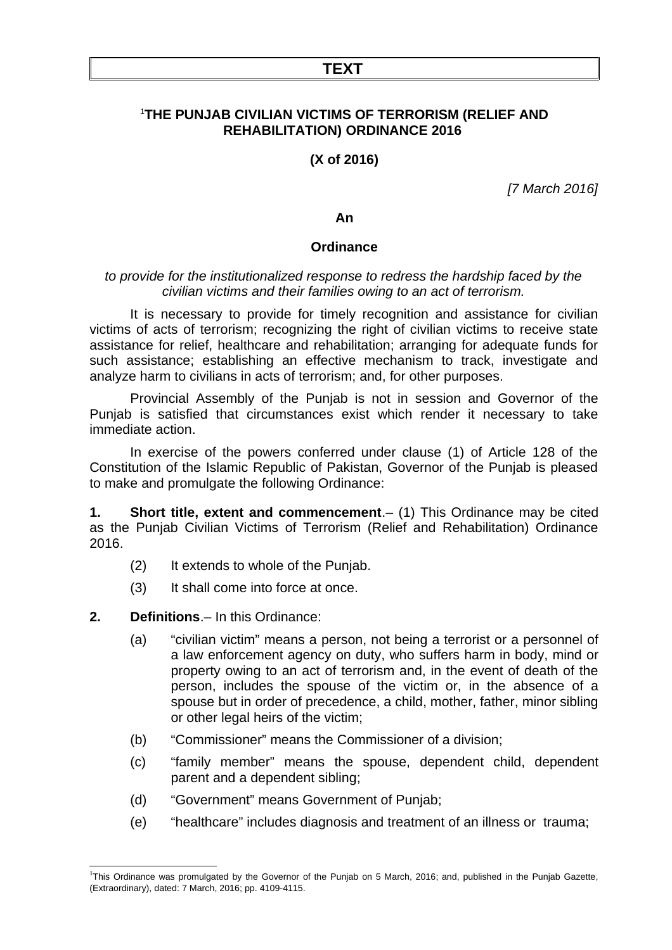#### **TEXT**

#### [1](#page-1-2)**THE PUNJAB CIVILIAN VICTIMS OF TERRORISM (RELIEF AND REHABILITATION) ORDINANCE 2016**

**(X of 2016)**

*[7 March 2016]*

**An**

#### **Ordinance**

#### *to provide for the institutionalized response to redress the hardship faced by the civilian victims and their families owing to an act of terrorism.*

It is necessary to provide for timely recognition and assistance for civilian victims of acts of terrorism; recognizing the right of civilian victims to receive state assistance for relief, healthcare and rehabilitation; arranging for adequate funds for such assistance; establishing an effective mechanism to track, investigate and analyze harm to civilians in acts of terrorism; and, for other purposes.

Provincial Assembly of the Punjab is not in session and Governor of the Punjab is satisfied that circumstances exist which render it necessary to take immediate action.

In exercise of the powers conferred under clause (1) of Article 128 of the Constitution of the Islamic Republic of Pakistan, Governor of the Punjab is pleased to make and promulgate the following Ordinance:

<span id="page-1-1"></span>**1. Short title, extent and commencement**.– (1) This Ordinance may be cited as the Punjab Civilian Victims of Terrorism (Relief and Rehabilitation) Ordinance 2016.

- (2) It extends to whole of the Punjab.
- (3) It shall come into force at once.

#### **2. Definitions**.– In this Ordinance:

- <span id="page-1-0"></span>(a) "civilian victim" means a person, not being a terrorist or a personnel of a law enforcement agency on duty, who suffers harm in body, mind or property owing to an act of terrorism and, in the event of death of the person, includes the spouse of the victim or, in the absence of a spouse but in order of precedence, a child, mother, father, minor sibling or other legal heirs of the victim;
- (b) "Commissioner" means the Commissioner of a division;
- (c) "family member" means the spouse, dependent child, dependent parent and a dependent sibling;
- (d) "Government" means Government of Punjab;
- (e) "healthcare" includes diagnosis and treatment of an illness or trauma;

<span id="page-1-2"></span><sup>&</sup>lt;sup>1</sup>This Ordinance was promulgated by the Governor of the Punjab on 5 March, 2016; and, published in the Punjab Gazette, (Extraordinary), dated: 7 March, 2016; pp. 4109-4115.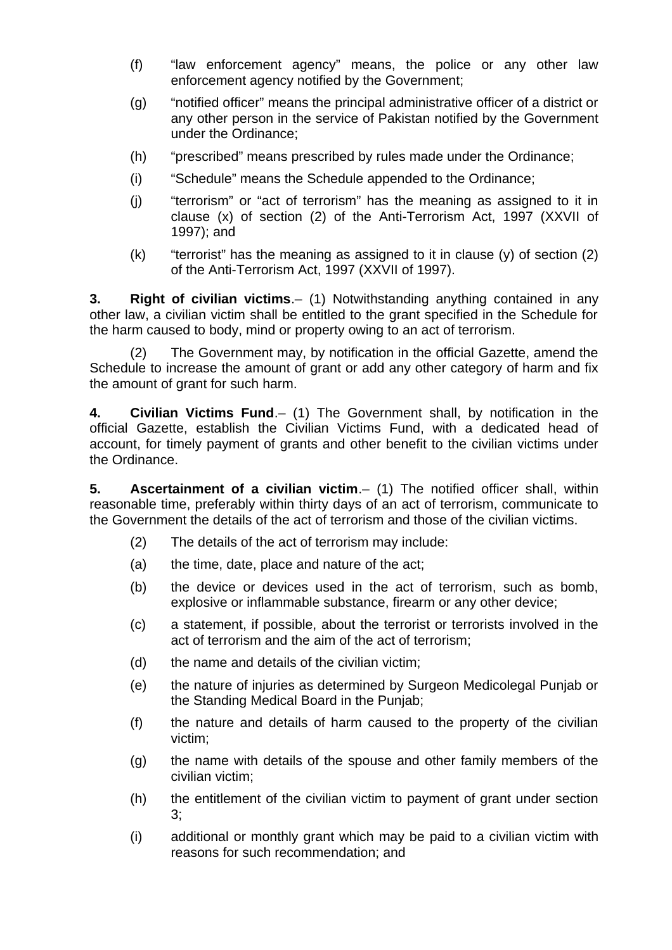- (f) "law enforcement agency" means, the police or any other law enforcement agency notified by the Government;
- (g) "notified officer" means the principal administrative officer of a district or any other person in the service of Pakistan notified by the Government under the Ordinance;
- (h) "prescribed" means prescribed by rules made under the Ordinance;
- (i) "Schedule" means the Schedule appended to the Ordinance;
- (j) "terrorism" or "act of terrorism" has the meaning as assigned to it in clause (x) of section (2) of the Anti-Terrorism Act, 1997 (XXVII of 1997); and
- $(k)$  "terrorist" has the meaning as assigned to it in clause  $(y)$  of section  $(2)$ of the Anti-Terrorism Act, 1997 (XXVII of 1997).

<span id="page-2-2"></span>**3. Right of civilian victims**.– (1) Notwithstanding anything contained in any other law, a civilian victim shall be entitled to the grant specified in the Schedule for the harm caused to body, mind or property owing to an act of terrorism.

(2) The Government may, by notification in the official Gazette, amend the Schedule to increase the amount of grant or add any other category of harm and fix the amount of grant for such harm.

<span id="page-2-1"></span>**4. Civilian Victims Fund**.– (1) The Government shall, by notification in the official Gazette, establish the Civilian Victims Fund, with a dedicated head of account, for timely payment of grants and other benefit to the civilian victims under the Ordinance.

<span id="page-2-0"></span>**5. Ascertainment of a civilian victim**.– (1) The notified officer shall, within reasonable time, preferably within thirty days of an act of terrorism, communicate to the Government the details of the act of terrorism and those of the civilian victims.

- (2) The details of the act of terrorism may include:
- (a) the time, date, place and nature of the act;
- (b) the device or devices used in the act of terrorism, such as bomb, explosive or inflammable substance, firearm or any other device;
- (c) a statement, if possible, about the terrorist or terrorists involved in the act of terrorism and the aim of the act of terrorism;
- (d) the name and details of the civilian victim;
- (e) the nature of injuries as determined by Surgeon Medicolegal Punjab or the Standing Medical Board in the Punjab;
- (f) the nature and details of harm caused to the property of the civilian victim;
- (g) the name with details of the spouse and other family members of the civilian victim;
- (h) the entitlement of the civilian victim to payment of grant under section 3;
- (i) additional or monthly grant which may be paid to a civilian victim with reasons for such recommendation; and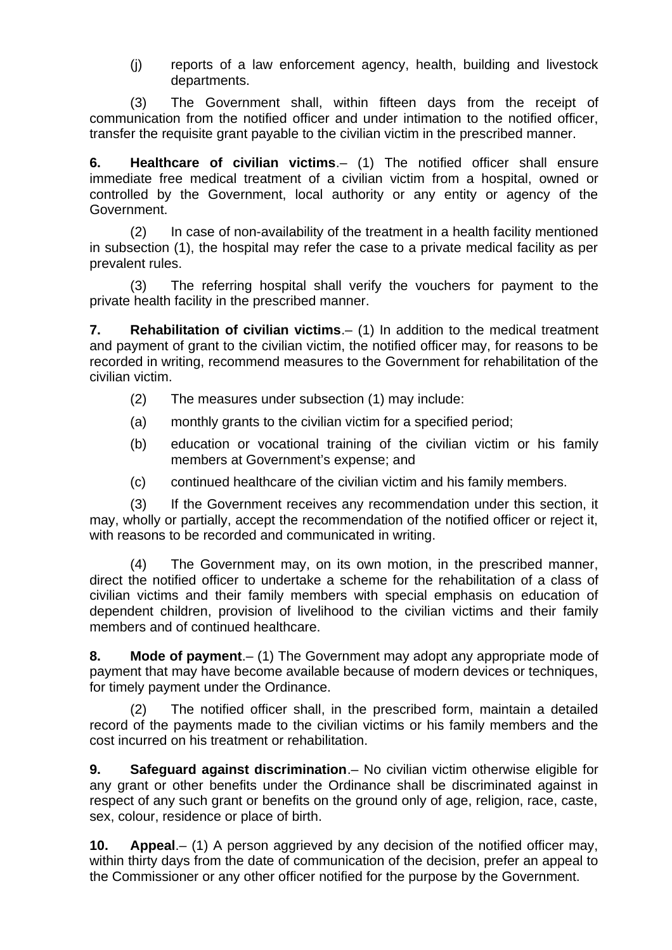(j) reports of a law enforcement agency, health, building and livestock departments.

(3) The Government shall, within fifteen days from the receipt of communication from the notified officer and under intimation to the notified officer, transfer the requisite grant payable to the civilian victim in the prescribed manner.

<span id="page-3-4"></span>**6. Healthcare of civilian victims**.– (1) The notified officer shall ensure immediate free medical treatment of a civilian victim from a hospital, owned or controlled by the Government, local authority or any entity or agency of the Government.

(2) In case of non-availability of the treatment in a health facility mentioned in subsection (1), the hospital may refer the case to a private medical facility as per prevalent rules.

(3) The referring hospital shall verify the vouchers for payment to the private health facility in the prescribed manner.

<span id="page-3-3"></span>**7. Rehabilitation of civilian victims**.– (1) In addition to the medical treatment and payment of grant to the civilian victim, the notified officer may, for reasons to be recorded in writing, recommend measures to the Government for rehabilitation of the civilian victim.

- (2) The measures under subsection (1) may include:
- (a) monthly grants to the civilian victim for a specified period;
- (b) education or vocational training of the civilian victim or his family members at Government's expense; and
- (c) continued healthcare of the civilian victim and his family members.

(3) If the Government receives any recommendation under this section, it may, wholly or partially, accept the recommendation of the notified officer or reject it, with reasons to be recorded and communicated in writing.

(4) The Government may, on its own motion, in the prescribed manner, direct the notified officer to undertake a scheme for the rehabilitation of a class of civilian victims and their family members with special emphasis on education of dependent children, provision of livelihood to the civilian victims and their family members and of continued healthcare.

<span id="page-3-2"></span>**8. Mode of payment**.– (1) The Government may adopt any appropriate mode of payment that may have become available because of modern devices or techniques, for timely payment under the Ordinance.

(2) The notified officer shall, in the prescribed form, maintain a detailed record of the payments made to the civilian victims or his family members and the cost incurred on his treatment or rehabilitation.

<span id="page-3-1"></span>**9. Safeguard against discrimination**.– No civilian victim otherwise eligible for any grant or other benefits under the Ordinance shall be discriminated against in respect of any such grant or benefits on the ground only of age, religion, race, caste, sex, colour, residence or place of birth.

<span id="page-3-0"></span>**10. Appeal**.– (1) A person aggrieved by any decision of the notified officer may, within thirty days from the date of communication of the decision, prefer an appeal to the Commissioner or any other officer notified for the purpose by the Government.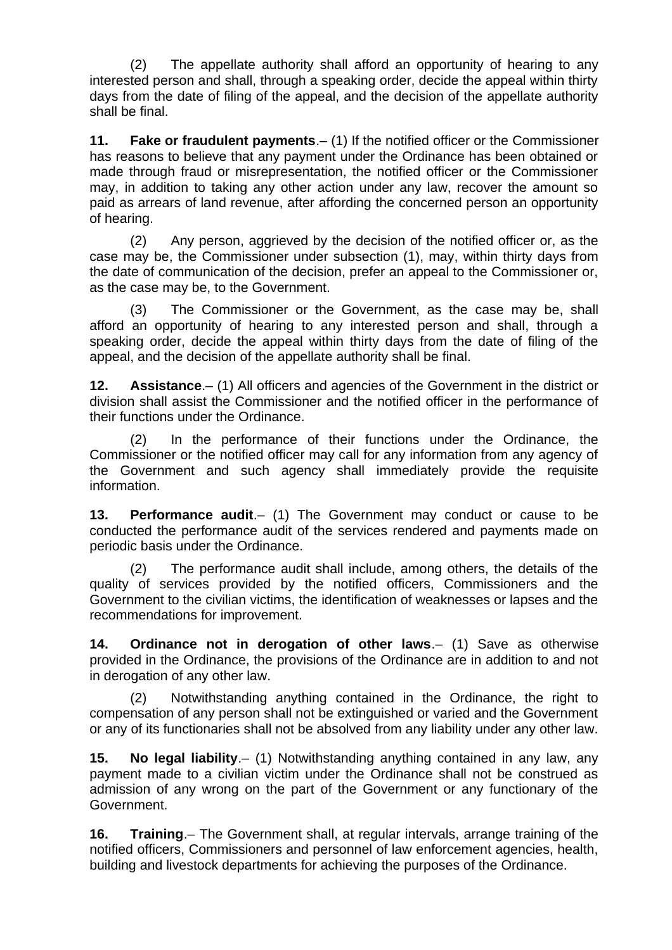(2) The appellate authority shall afford an opportunity of hearing to any interested person and shall, through a speaking order, decide the appeal within thirty days from the date of filing of the appeal, and the decision of the appellate authority shall be final.

<span id="page-4-5"></span>**11. Fake or fraudulent payments**.– (1) If the notified officer or the Commissioner has reasons to believe that any payment under the Ordinance has been obtained or made through fraud or misrepresentation, the notified officer or the Commissioner may, in addition to taking any other action under any law, recover the amount so paid as arrears of land revenue, after affording the concerned person an opportunity of hearing.

(2) Any person, aggrieved by the decision of the notified officer or, as the case may be, the Commissioner under subsection (1), may, within thirty days from the date of communication of the decision, prefer an appeal to the Commissioner or, as the case may be, to the Government.

(3) The Commissioner or the Government, as the case may be, shall afford an opportunity of hearing to any interested person and shall, through a speaking order, decide the appeal within thirty days from the date of filing of the appeal, and the decision of the appellate authority shall be final.

<span id="page-4-4"></span>**12. Assistance**.– (1) All officers and agencies of the Government in the district or division shall assist the Commissioner and the notified officer in the performance of their functions under the Ordinance.

(2) In the performance of their functions under the Ordinance, the Commissioner or the notified officer may call for any information from any agency of the Government and such agency shall immediately provide the requisite information.

<span id="page-4-3"></span>**13. Performance audit**.– (1) The Government may conduct or cause to be conducted the performance audit of the services rendered and payments made on periodic basis under the Ordinance.

(2) The performance audit shall include, among others, the details of the quality of services provided by the notified officers, Commissioners and the Government to the civilian victims, the identification of weaknesses or lapses and the recommendations for improvement.

<span id="page-4-2"></span>**14. Ordinance not in derogation of other laws**.– (1) Save as otherwise provided in the Ordinance, the provisions of the Ordinance are in addition to and not in derogation of any other law.

(2) Notwithstanding anything contained in the Ordinance, the right to compensation of any person shall not be extinguished or varied and the Government or any of its functionaries shall not be absolved from any liability under any other law.

<span id="page-4-1"></span>**15. No legal liability**.– (1) Notwithstanding anything contained in any law, any payment made to a civilian victim under the Ordinance shall not be construed as admission of any wrong on the part of the Government or any functionary of the Government.

<span id="page-4-0"></span>**16. Training**.– The Government shall, at regular intervals, arrange training of the notified officers, Commissioners and personnel of law enforcement agencies, health, building and livestock departments for achieving the purposes of the Ordinance.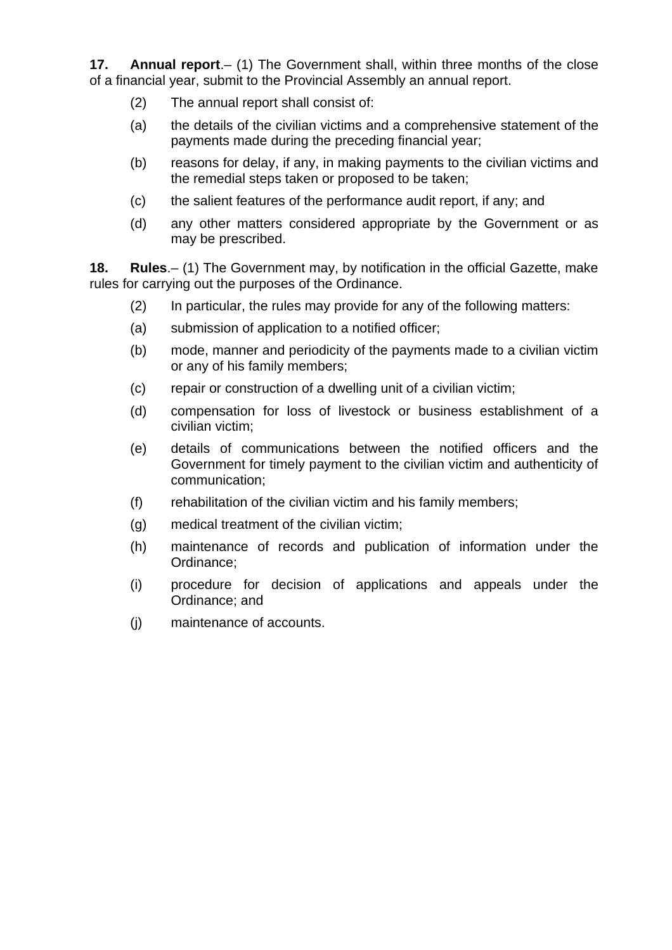**17. Annual report**.– (1) The Government shall, within three months of the close of a financial year, submit to the Provincial Assembly an annual report.

- <span id="page-5-1"></span>(2) The annual report shall consist of:
- (a) the details of the civilian victims and a comprehensive statement of the payments made during the preceding financial year;
- (b) reasons for delay, if any, in making payments to the civilian victims and the remedial steps taken or proposed to be taken;
- (c) the salient features of the performance audit report, if any; and
- (d) any other matters considered appropriate by the Government or as may be prescribed.

**18. Rules**.– (1) The Government may, by notification in the official Gazette, make rules for carrying out the purposes of the Ordinance.

- <span id="page-5-0"></span>(2) In particular, the rules may provide for any of the following matters:
- (a) submission of application to a notified officer;
- (b) mode, manner and periodicity of the payments made to a civilian victim or any of his family members;
- (c) repair or construction of a dwelling unit of a civilian victim;
- (d) compensation for loss of livestock or business establishment of a civilian victim;
- (e) details of communications between the notified officers and the Government for timely payment to the civilian victim and authenticity of communication;
- (f) rehabilitation of the civilian victim and his family members;
- (g) medical treatment of the civilian victim;
- (h) maintenance of records and publication of information under the Ordinance;
- (i) procedure for decision of applications and appeals under the Ordinance; and
- (j) maintenance of accounts.